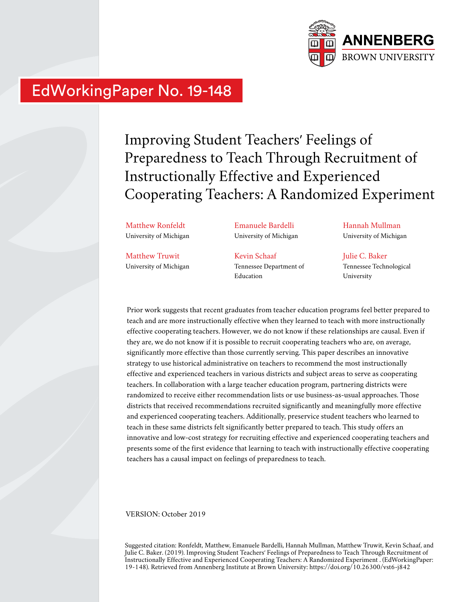

# EdWorkingPaper No. 19-148

Improving Student Teachers' Feelings of Preparedness to Teach Through Recruitment of Instructionally Effective and Experienced Cooperating Teachers: A Randomized Experiment

Matthew Ronfeldt University of Michigan

Matthew Truwit University of Michigan Emanuele Bardelli University of Michigan

Kevin Schaaf Tennessee Department of Education

Hannah Mullman University of Michigan

Julie C. Baker Tennessee Technological University

Prior work suggests that recent graduates from teacher education programs feel better prepared to teach and are more instructionally effective when they learned to teach with more instructionally effective cooperating teachers. However, we do not know if these relationships are causal. Even if they are, we do not know if it is possible to recruit cooperating teachers who are, on average, significantly more effective than those currently serving. This paper describes an innovative strategy to use historical administrative on teachers to recommend the most instructionally effective and experienced teachers in various districts and subject areas to serve as cooperating teachers. In collaboration with a large teacher education program, partnering districts were randomized to receive either recommendation lists or use business-as-usual approaches. Those districts that received recommendations recruited significantly and meaningfully more effective and experienced cooperating teachers. Additionally, preservice student teachers who learned to teach in these same districts felt significantly better prepared to teach. This study offers an innovative and low-cost strategy for recruiting effective and experienced cooperating teachers and presents some of the first evidence that learning to teach with instructionally effective cooperating teachers has a causal impact on feelings of preparedness to teach.

VERSION: October 2019

Suggested citation: Ronfeldt, Matthew, Emanuele Bardelli, Hannah Mullman, Matthew Truwit, Kevin Schaaf, and Julie C. Baker. (2019). Improving Student Teachers' Feelings of Preparedness to Teach Through Recruitment of Instructionally Effective and Experienced Cooperating Teachers: A Randomized Experiment . (EdWorkingPaper: 19-148). Retrieved from Annenberg Institute at Brown University: https://doi.org/10.26300/vst6-j842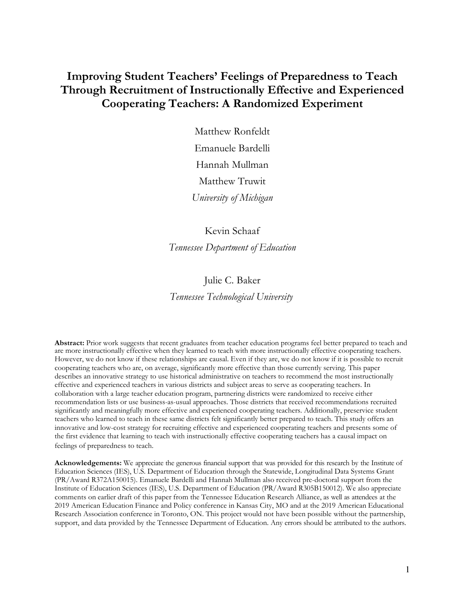## **Improving Student Teachers' Feelings of Preparedness to Teach Through Recruitment of Instructionally Effective and Experienced Cooperating Teachers: A Randomized Experiment**

Matthew Ronfeldt Emanuele Bardelli Hannah Mullman Matthew Truwit *University of Michigan*

Kevin Schaaf *Tennessee Department of Education*

### Julie C. Baker

*Tennessee Technological University* 

**Abstract:** Prior work suggests that recent graduates from teacher education programs feel better prepared to teach and are more instructionally effective when they learned to teach with more instructionally effective cooperating teachers. However, we do not know if these relationships are causal. Even if they are, we do not know if it is possible to recruit cooperating teachers who are, on average, significantly more effective than those currently serving. This paper describes an innovative strategy to use historical administrative on teachers to recommend the most instructionally effective and experienced teachers in various districts and subject areas to serve as cooperating teachers. In collaboration with a large teacher education program, partnering districts were randomized to receive either recommendation lists or use business-as-usual approaches. Those districts that received recommendations recruited significantly and meaningfully more effective and experienced cooperating teachers. Additionally, preservice student teachers who learned to teach in these same districts felt significantly better prepared to teach. This study offers an innovative and low-cost strategy for recruiting effective and experienced cooperating teachers and presents some of the first evidence that learning to teach with instructionally effective cooperating teachers has a causal impact on feelings of preparedness to teach.

**Acknowledgements:** We appreciate the generous financial support that was provided for this research by the Institute of Education Sciences (IES), U.S. Department of Education through the Statewide, Longitudinal Data Systems Grant (PR/Award R372A150015). Emanuele Bardelli and Hannah Mullman also received pre-doctoral support from the Institute of Education Sciences (IES), U.S. Department of Education (PR/Award R305B150012). We also appreciate comments on earlier draft of this paper from the Tennessee Education Research Alliance, as well as attendees at the 2019 American Education Finance and Policy conference in Kansas City, MO and at the 2019 American Educational Research Association conference in Toronto, ON. This project would not have been possible without the partnership, support, and data provided by the Tennessee Department of Education. Any errors should be attributed to the authors.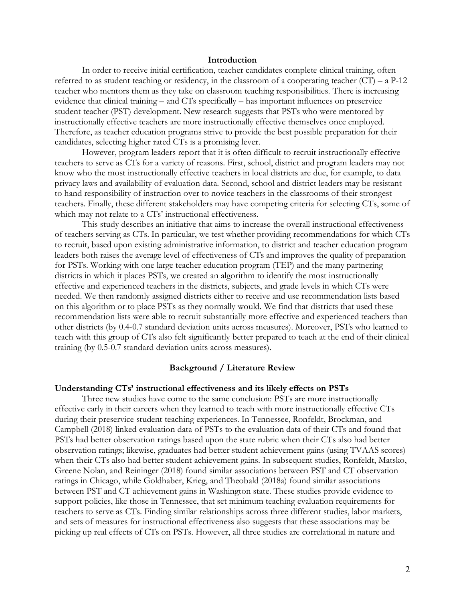#### **Introduction**

In order to receive initial certification, teacher candidates complete clinical training, often referred to as student teaching or residency, in the classroom of a cooperating teacher  $(CT) - a P-12$ teacher who mentors them as they take on classroom teaching responsibilities. There is increasing evidence that clinical training – and CTs specifically – has important influences on preservice student teacher (PST) development. New research suggests that PSTs who were mentored by instructionally effective teachers are more instructionally effective themselves once employed. Therefore, as teacher education programs strive to provide the best possible preparation for their candidates, selecting higher rated CTs is a promising lever.

However, program leaders report that it is often difficult to recruit instructionally effective teachers to serve as CTs for a variety of reasons. First, school, district and program leaders may not know who the most instructionally effective teachers in local districts are due, for example, to data privacy laws and availability of evaluation data. Second, school and district leaders may be resistant to hand responsibility of instruction over to novice teachers in the classrooms of their strongest teachers. Finally, these different stakeholders may have competing criteria for selecting CTs, some of which may not relate to a CTs' instructional effectiveness.

This study describes an initiative that aims to increase the overall instructional effectiveness of teachers serving as CTs. In particular, we test whether providing recommendations for which CTs to recruit, based upon existing administrative information, to district and teacher education program leaders both raises the average level of effectiveness of CTs and improves the quality of preparation for PSTs. Working with one large teacher education program (TEP) and the many partnering districts in which it places PSTs, we created an algorithm to identify the most instructionally effective and experienced teachers in the districts, subjects, and grade levels in which CTs were needed. We then randomly assigned districts either to receive and use recommendation lists based on this algorithm or to place PSTs as they normally would. We find that districts that used these recommendation lists were able to recruit substantially more effective and experienced teachers than other districts (by 0.4-0.7 standard deviation units across measures). Moreover, PSTs who learned to teach with this group of CTs also felt significantly better prepared to teach at the end of their clinical training (by 0.5-0.7 standard deviation units across measures).

#### **Background / Literature Review**

#### **Understanding CTs' instructional effectiveness and its likely effects on PSTs**

Three new studies have come to the same conclusion: PSTs are more instructionally effective early in their careers when they learned to teach with more instructionally effective CTs during their preservice student teaching experiences. In Tennessee, Ronfeldt, Brockman, and Campbell (2018) linked evaluation data of PSTs to the evaluation data of their CTs and found that PSTs had better observation ratings based upon the state rubric when their CTs also had better observation ratings; likewise, graduates had better student achievement gains (using TVAAS scores) when their CTs also had better student achievement gains. In subsequent studies, Ronfeldt, Matsko, Greene Nolan, and Reininger (2018) found similar associations between PST and CT observation ratings in Chicago, while Goldhaber, Krieg, and Theobald (2018a) found similar associations between PST and CT achievement gains in Washington state. These studies provide evidence to support policies, like those in Tennessee, that set minimum teaching evaluation requirements for teachers to serve as CTs. Finding similar relationships across three different studies, labor markets, and sets of measures for instructional effectiveness also suggests that these associations may be picking up real effects of CTs on PSTs. However, all three studies are correlational in nature and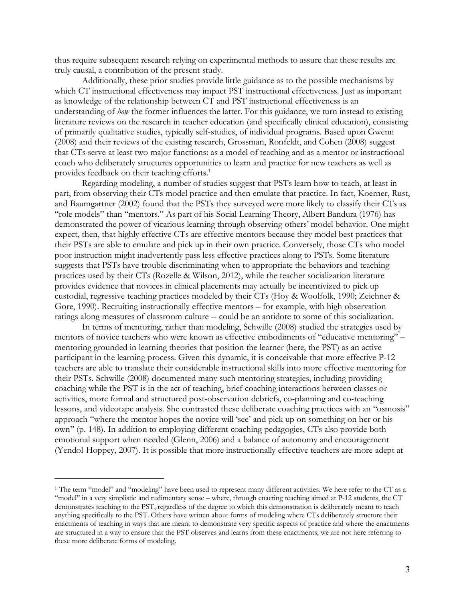thus require subsequent research relying on experimental methods to assure that these results are truly causal, a contribution of the present study.

Additionally, these prior studies provide little guidance as to the possible mechanisms by which CT instructional effectiveness may impact PST instructional effectiveness. Just as important as knowledge of the relationship between CT and PST instructional effectiveness is an understanding of *how* the former influences the latter. For this guidance, we turn instead to existing literature reviews on the research in teacher education (and specifically clinical education), consisting of primarily qualitative studies, typically self-studies, of individual programs. Based upon Gwenn (2008) and their reviews of the existing research, Grossman, Ronfeldt, and Cohen (2008) suggest that CTs serve at least two major functions: as a model of teaching and as a mentor or instructional coach who deliberately structures opportunities to learn and practice for new teachers as well as provides feedback on their teaching efforts.<sup>1</sup>

Regarding modeling, a number of studies suggest that PSTs learn how to teach, at least in part, from observing their CTs model practice and then emulate that practice. In fact, Koerner, Rust, and Baumgartner (2002) found that the PSTs they surveyed were more likely to classify their CTs as "role models" than "mentors." As part of his Social Learning Theory, Albert Bandura (1976) has demonstrated the power of vicarious learning through observing others' model behavior. One might expect, then, that highly effective CTs are effective mentors because they model best practices that their PSTs are able to emulate and pick up in their own practice. Conversely, those CTs who model poor instruction might inadvertently pass less effective practices along to PSTs. Some literature suggests that PSTs have trouble discriminating when to appropriate the behaviors and teaching practices used by their CTs (Rozelle & Wilson, 2012), while the teacher socialization literature provides evidence that novices in clinical placements may actually be incentivized to pick up custodial, regressive teaching practices modeled by their CTs (Hoy & Woolfolk, 1990; Zeichner & Gore, 1990). Recruiting instructionally effective mentors – for example, with high observation ratings along measures of classroom culture -- could be an antidote to some of this socialization.

In terms of mentoring, rather than modeling, Schwille (2008) studied the strategies used by mentors of novice teachers who were known as effective embodiments of "educative mentoring" – mentoring grounded in learning theories that position the learner (here, the PST) as an active participant in the learning process. Given this dynamic, it is conceivable that more effective P-12 teachers are able to translate their considerable instructional skills into more effective mentoring for their PSTs. Schwille (2008) documented many such mentoring strategies, including providing coaching while the PST is in the act of teaching, brief coaching interactions between classes or activities, more formal and structured post-observation debriefs, co-planning and co-teaching lessons, and videotape analysis. She contrasted these deliberate coaching practices with an "osmosis" approach "where the mentor hopes the novice will 'see' and pick up on something on her or his own" (p. 148). In addition to employing different coaching pedagogies, CTs also provide both emotional support when needed (Glenn, 2006) and a balance of autonomy and encouragement (Yendol-Hoppey, 2007). It is possible that more instructionally effective teachers are more adept at

 $\overline{a}$ 

<sup>1</sup> The term "model" and "modeling" have been used to represent many different activities. We here refer to the CT as a "model" in a very simplistic and rudimentary sense – where, through enacting teaching aimed at P-12 students, the CT demonstrates teaching to the PST, regardless of the degree to which this demonstration is deliberately meant to teach anything specifically to the PST. Others have written about forms of modeling where CTs deliberately structure their enactments of teaching in ways that are meant to demonstrate very specific aspects of practice and where the enactments are structured in a way to ensure that the PST observes and learns from these enactments; we are not here referring to these more deliberate forms of modeling.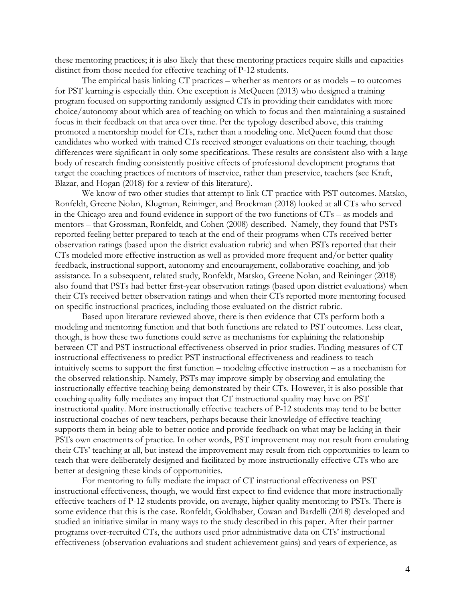these mentoring practices; it is also likely that these mentoring practices require skills and capacities distinct from those needed for effective teaching of P-12 students.

The empirical basis linking CT practices – whether as mentors or as models – to outcomes for PST learning is especially thin. One exception is McQueen (2013) who designed a training program focused on supporting randomly assigned CTs in providing their candidates with more choice/autonomy about which area of teaching on which to focus and then maintaining a sustained focus in their feedback on that area over time. Per the typology described above, this training promoted a mentorship model for CTs, rather than a modeling one. McQueen found that those candidates who worked with trained CTs received stronger evaluations on their teaching, though differences were significant in only some specifications. These results are consistent also with a large body of research finding consistently positive effects of professional development programs that target the coaching practices of mentors of inservice, rather than preservice, teachers (see Kraft, Blazar, and Hogan (2018) for a review of this literature).

We know of two other studies that attempt to link CT practice with PST outcomes. Matsko, Ronfeldt, Greene Nolan, Klugman, Reininger, and Brockman (2018) looked at all CTs who served in the Chicago area and found evidence in support of the two functions of CTs – as models and mentors – that Grossman, Ronfeldt, and Cohen (2008) described. Namely, they found that PSTs reported feeling better prepared to teach at the end of their programs when CTs received better observation ratings (based upon the district evaluation rubric) and when PSTs reported that their CTs modeled more effective instruction as well as provided more frequent and/or better quality feedback, instructional support, autonomy and encouragement, collaborative coaching, and job assistance. In a subsequent, related study, Ronfeldt, Matsko, Greene Nolan, and Reininger (2018) also found that PSTs had better first-year observation ratings (based upon district evaluations) when their CTs received better observation ratings and when their CTs reported more mentoring focused on specific instructional practices, including those evaluated on the district rubric.

Based upon literature reviewed above, there is then evidence that CTs perform both a modeling and mentoring function and that both functions are related to PST outcomes. Less clear, though, is how these two functions could serve as mechanisms for explaining the relationship between CT and PST instructional effectiveness observed in prior studies. Finding measures of CT instructional effectiveness to predict PST instructional effectiveness and readiness to teach intuitively seems to support the first function – modeling effective instruction – as a mechanism for the observed relationship. Namely, PSTs may improve simply by observing and emulating the instructionally effective teaching being demonstrated by their CTs. However, it is also possible that coaching quality fully mediates any impact that CT instructional quality may have on PST instructional quality. More instructionally effective teachers of P-12 students may tend to be better instructional coaches of new teachers, perhaps because their knowledge of effective teaching supports them in being able to better notice and provide feedback on what may be lacking in their PSTs own enactments of practice. In other words, PST improvement may not result from emulating their CTs' teaching at all, but instead the improvement may result from rich opportunities to learn to teach that were deliberately designed and facilitated by more instructionally effective CTs who are better at designing these kinds of opportunities.

For mentoring to fully mediate the impact of CT instructional effectiveness on PST instructional effectiveness, though, we would first expect to find evidence that more instructionally effective teachers of P-12 students provide, on average, higher quality mentoring to PSTs. There is some evidence that this is the case. Ronfeldt, Goldhaber, Cowan and Bardelli (2018) developed and studied an initiative similar in many ways to the study described in this paper. After their partner programs over-recruited CTs, the authors used prior administrative data on CTs' instructional effectiveness (observation evaluations and student achievement gains) and years of experience, as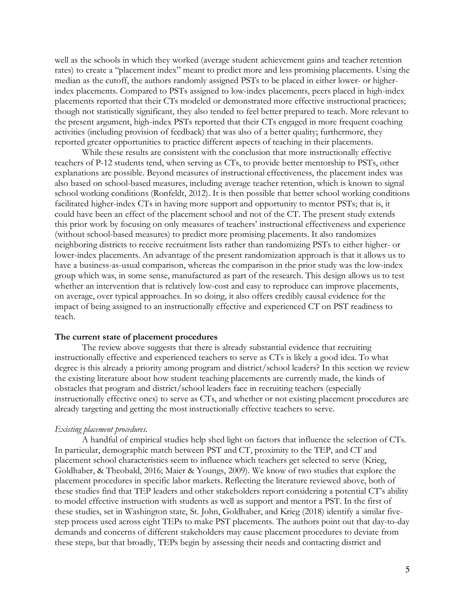well as the schools in which they worked (average student achievement gains and teacher retention rates) to create a "placement index" meant to predict more and less promising placements. Using the median as the cutoff, the authors randomly assigned PSTs to be placed in either lower- or higherindex placements. Compared to PSTs assigned to low-index placements, peers placed in high-index placements reported that their CTs modeled or demonstrated more effective instructional practices; though not statistically significant, they also tended to feel better prepared to teach. More relevant to the present argument, high-index PSTs reported that their CTs engaged in more frequent coaching activities (including provision of feedback) that was also of a better quality; furthermore, they reported greater opportunities to practice different aspects of teaching in their placements.

While these results are consistent with the conclusion that more instructionally effective teachers of P-12 students tend, when serving as CTs, to provide better mentorship to PSTs, other explanations are possible. Beyond measures of instructional effectiveness, the placement index was also based on school-based measures, including average teacher retention, which is known to signal school working conditions (Ronfeldt, 2012). It is then possible that better school working conditions facilitated higher-index CTs in having more support and opportunity to mentor PSTs; that is, it could have been an effect of the placement school and not of the CT. The present study extends this prior work by focusing on only measures of teachers' instructional effectiveness and experience (without school-based measures) to predict more promising placements. It also randomizes neighboring districts to receive recruitment lists rather than randomizing PSTs to either higher- or lower-index placements. An advantage of the present randomization approach is that it allows us to have a business-as-usual comparison, whereas the comparison in the prior study was the low-index group which was, in some sense, manufactured as part of the research. This design allows us to test whether an intervention that is relatively low-cost and easy to reproduce can improve placements, on average, over typical approaches. In so doing, it also offers credibly causal evidence for the impact of being assigned to an instructionally effective and experienced CT on PST readiness to teach.

#### **The current state of placement procedures**

The review above suggests that there is already substantial evidence that recruiting instructionally effective and experienced teachers to serve as CTs is likely a good idea. To what degree is this already a priority among program and district/school leaders? In this section we review the existing literature about how student teaching placements are currently made, the kinds of obstacles that program and district/school leaders face in recruiting teachers (especially instructionally effective ones) to serve as CTs, and whether or not existing placement procedures are already targeting and getting the most instructionally effective teachers to serve.

#### *Existing placement procedures.*

A handful of empirical studies help shed light on factors that influence the selection of CTs. In particular, demographic match between PST and CT, proximity to the TEP, and CT and placement school characteristics seem to influence which teachers get selected to serve (Krieg, Goldhaber, & Theobald, 2016; Maier & Youngs, 2009). We know of two studies that explore the placement procedures in specific labor markets. Reflecting the literature reviewed above, both of these studies find that TEP leaders and other stakeholders report considering a potential CT's ability to model effective instruction with students as well as support and mentor a PST. In the first of these studies, set in Washington state, St. John, Goldhaber, and Krieg (2018) identify a similar fivestep process used across eight TEPs to make PST placements. The authors point out that day-to-day demands and concerns of different stakeholders may cause placement procedures to deviate from these steps, but that broadly, TEPs begin by assessing their needs and contacting district and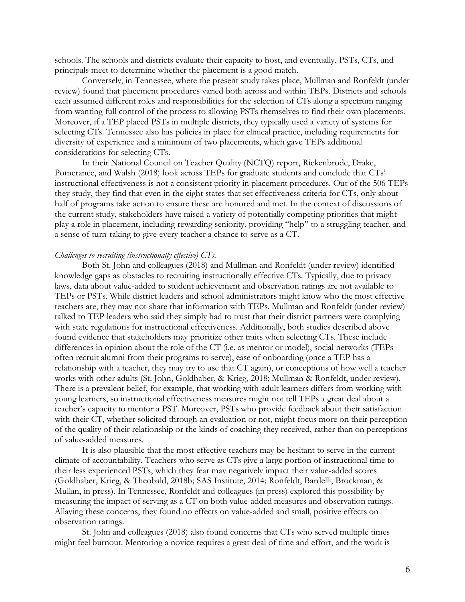schools. The schools and districts evaluate their capacity to host, and eventually, PSTs, CTs, and principals meet to determine whether the placement is a good match.

Conversely, in Tennessee, where the present study takes place, Mullman and Ronfeldt (under review) found that placement procedures varied both across and within TEPs. Districts and schools each assumed different roles and responsibilities for the selection of CTs along a spectrum ranging from wanting full control of the process to allowing PSTs themselves to find their own placements. Moreover, if a TEP placed PSTs in multiple districts, they typically used a variety of systems for selecting CTs. Tennessee also has policies in place for clinical practice, including requirements for diversity of experience and a minimum of two placements, which gave TEPs additional considerations for selecting CTs.

In their National Council on Teacher Quality (NCTQ) report, Rickenbrode, Drake, Pomerance, and Walsh (2018) look across TEPs for graduate students and conclude that CTs' instructional effectiveness is not a consistent priority in placement procedures. Out of the 506 TEPs they study, they find that even in the eight states that set effectiveness criteria for CTs, only about half of programs take action to ensure these are honored and met. In the context of discussions of the current study, stakeholders have raised a variety of potentially competing priorities that might play a role in placement, including rewarding seniority, providing "help" to a struggling teacher, and a sense of turn-taking to give every teacher a chance to serve as a CT.

#### *Challenges to recruiting (instructionally effective) CTs.*

Both St. John and colleagues (2018) and Mullman and Ronfeldt (under review) identified knowledge gaps as obstacles to recruiting instructionally effective CTs. Typically, due to privacy laws, data about value-added to student achievement and observation ratings are not available to TEPs or PSTs. While district leaders and school administrators might know who the most effective teachers are, they may not share that information with TEPs. Mullman and Ronfeldt (under review) talked to TEP leaders who said they simply had to trust that their district partners were complying with state regulations for instructional effectiveness. Additionally, both studies described above found evidence that stakeholders may prioritize other traits when selecting CTs. These include differences in opinion about the role of the CT (i.e. as mentor or model), social networks (TEPs often recruit alumni from their programs to serve), ease of onboarding (once a TEP has a relationship with a teacher, they may try to use that CT again), or conceptions of how well a teacher works with other adults (St. John, Goldhaber, & Krieg, 2018; Mullman & Ronfeldt, under review). There is a prevalent belief, for example, that working with adult learners differs from working with young learners, so instructional effectiveness measures might not tell TEPs a great deal about a teacher's capacity to mentor a PST. Moreover, PSTs who provide feedback about their satisfaction with their CT, whether solicited through an evaluation or not, might focus more on their perception of the quality of their relationship or the kinds of coaching they received, rather than on perceptions of value-added measures.

It is also plausible that the most effective teachers may be hesitant to serve in the current climate of accountability. Teachers who serve as CTs give a large portion of instructional time to their less experienced PSTs, which they fear may negatively impact their value-added scores (Goldhaber, Krieg, & Theobald, 2018b; SAS Institute, 2014; Ronfeldt, Bardelli, Brockman, & Mullan, in press). In Tennessee, Ronfeldt and colleagues (in press) explored this possibility by measuring the impact of serving as a CT on both value-added measures and observation ratings. Allaying these concerns, they found no effects on value-added and small, positive effects on observation ratings.

St. John and colleagues (2018) also found concerns that CTs who served multiple times might feel burnout. Mentoring a novice requires a great deal of time and effort, and the work is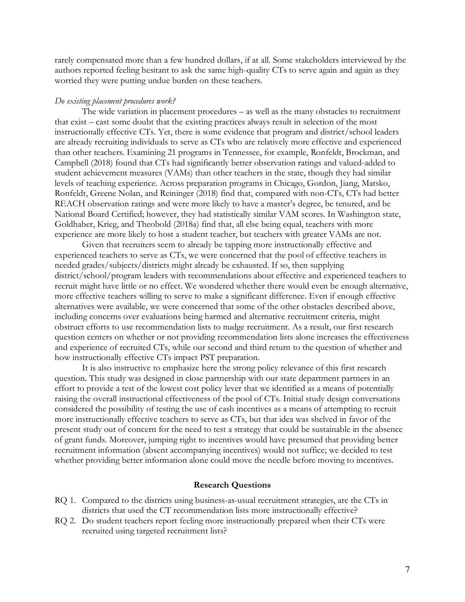rarely compensated more than a few hundred dollars, if at all. Some stakeholders interviewed by the authors reported feeling hesitant to ask the same high-quality CTs to serve again and again as they worried they were putting undue burden on these teachers.

#### *Do existing placement procedures work?*

The wide variation in placement procedures – as well as the many obstacles to recruitment that exist – cast some doubt that the existing practices always result in selection of the most instructionally effective CTs. Yet, there is some evidence that program and district/school leaders are already recruiting individuals to serve as CTs who are relatively more effective and experienced than other teachers. Examining 21 programs in Tennessee, for example, Ronfeldt, Brockman, and Campbell (2018) found that CTs had significantly better observation ratings and valued-added to student achievement measures (VAMs) than other teachers in the state, though they had similar levels of teaching experience. Across preparation programs in Chicago, Gordon, Jiang, Matsko, Ronfeldt, Greene Nolan, and Reininger (2018) find that, compared with non-CTs, CTs had better REACH observation ratings and were more likely to have a master's degree, be tenured, and be National Board Certified; however, they had statistically similar VAM scores. In Washington state, Goldhaber, Krieg, and Theobold (2018a) find that, all else being equal, teachers with more experience are more likely to host a student teacher, but teachers with greater VAMs are not.

Given that recruiters seem to already be tapping more instructionally effective and experienced teachers to serve as CTs, we were concerned that the pool of effective teachers in needed grades/subjects/districts might already be exhausted. If so, then supplying district/school/program leaders with recommendations about effective and experienced teachers to recruit might have little or no effect. We wondered whether there would even be enough alternative, more effective teachers willing to serve to make a significant difference. Even if enough effective alternatives were available, we were concerned that some of the other obstacles described above, including concerns over evaluations being harmed and alternative recruitment criteria, might obstruct efforts to use recommendation lists to nudge recruitment. As a result, our first research question centers on whether or not providing recommendation lists alone increases the effectiveness and experience of recruited CTs, while our second and third return to the question of whether and how instructionally effective CTs impact PST preparation.

It is also instructive to emphasize here the strong policy relevance of this first research question. This study was designed in close partnership with our state department partners in an effort to provide a test of the lowest cost policy lever that we identified as a means of potentially raising the overall instructional effectiveness of the pool of CTs. Initial study design conversations considered the possibility of testing the use of cash incentives as a means of attempting to recruit more instructionally effective teachers to serve as CTs, but that idea was shelved in favor of the present study out of concern for the need to test a strategy that could be sustainable in the absence of grant funds. Moreover, jumping right to incentives would have presumed that providing better recruitment information (absent accompanying incentives) would not suffice; we decided to test whether providing better information alone could move the needle before moving to incentives.

#### **Research Questions**

- RQ 1. Compared to the districts using business-as-usual recruitment strategies, are the CTs in districts that used the CT recommendation lists more instructionally effective?
- RQ 2. Do student teachers report feeling more instructionally prepared when their CTs were recruited using targeted recruitment lists?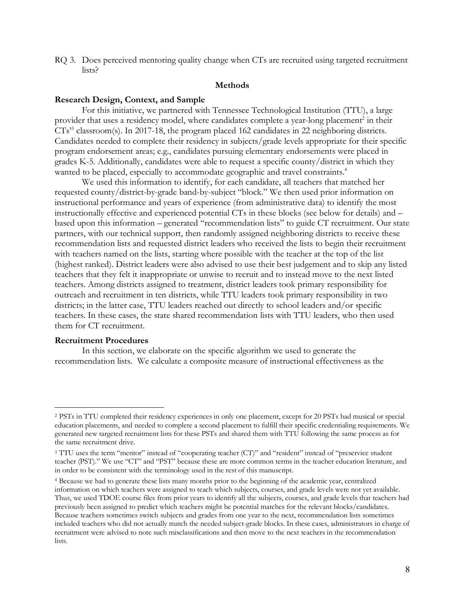RQ 3. Does perceived mentoring quality change when CTs are recruited using targeted recruitment lists?

#### **Methods**

#### **Research Design, Context, and Sample**

For this initiative, we partnered with Tennessee Technological Institution (TTU), a large provider that uses a residency model, where candidates complete a year-long placement<sup>2</sup> in their CTs' <sup>3</sup> classroom(s). In 2017-18, the program placed 162 candidates in 22 neighboring districts. Candidates needed to complete their residency in subjects/grade levels appropriate for their specific program endorsement areas; e.g., candidates pursuing elementary endorsements were placed in grades K-5. Additionally, candidates were able to request a specific county/district in which they wanted to be placed, especially to accommodate geographic and travel constraints.<sup>4</sup>

We used this information to identify, for each candidate, all teachers that matched her requested county/district-by-grade band-by-subject "block." We then used prior information on instructional performance and years of experience (from administrative data) to identify the most instructionally effective and experienced potential CTs in these blocks (see below for details) and – based upon this information – generated "recommendation lists" to guide CT recruitment. Our state partners, with our technical support, then randomly assigned neighboring districts to receive these recommendation lists and requested district leaders who received the lists to begin their recruitment with teachers named on the lists, starting where possible with the teacher at the top of the list (highest ranked). District leaders were also advised to use their best judgement and to skip any listed teachers that they felt it inappropriate or unwise to recruit and to instead move to the next listed teachers. Among districts assigned to treatment, district leaders took primary responsibility for outreach and recruitment in ten districts, while TTU leaders took primary responsibility in two districts; in the latter case, TTU leaders reached out directly to school leaders and/or specific teachers. In these cases, the state shared recommendation lists with TTU leaders, who then used them for CT recruitment.

#### **Recruitment Procedures**

l

In this section, we elaborate on the specific algorithm we used to generate the recommendation lists. We calculate a composite measure of instructional effectiveness as the

<sup>2</sup> PSTs in TTU completed their residency experiences in only one placement, except for 20 PSTs had musical or special education placements, and needed to complete a second placement to fulfill their specific credentialing requirements. We generated new targeted recruitment lists for these PSTs and shared them with TTU following the same process as for the same recruitment drive.

<sup>3</sup> TTU uses the term "mentor" instead of "cooperating teacher (CT)" and "resident" instead of "preservice student teacher (PST)." We use "CT" and "PST" because these are more common terms in the teacher education literature, and in order to be consistent with the terminology used in the rest of this manuscript.

<sup>4</sup> Because we had to generate these lists many months prior to the beginning of the academic year, centralized information on which teachers were assigned to teach which subjects, courses, and grade levels were not yet available. Thus, we used TDOE course files from prior years to identify all the subjects, courses, and grade levels that teachers had previously been assigned to predict which teachers might be potential matches for the relevant blocks/candidates. Because teachers sometimes switch subjects and grades from one year to the next, recommendation lists sometimes included teachers who did not actually match the needed subject-grade blocks. In these cases, administrators in charge of recruitment were advised to note such misclassifications and then move to the next teachers in the recommendation lists.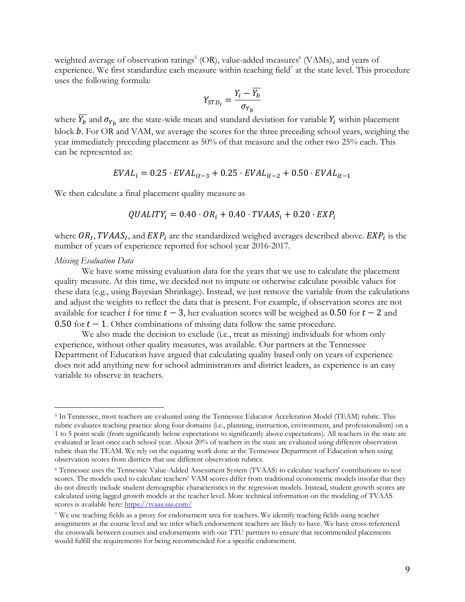weighted average of observation ratings<sup>5</sup> (OR), value-added measures<sup>6</sup> (VAMs), and years of experience. We first standardize each measure within teaching field<sup>7</sup> at the state level. This procedure uses the following formula:

$$
Y_{STD_i} = \frac{Y_i - Y_b}{\sigma_{Y_b}}
$$

where  $\overline{Y_b}$  and  $\sigma_{Y_b}$  are the state-wide mean and standard deviation for variable  $Y_i$  within placement block b. For OR and VAM, we average the scores for the three preceding school years, weighing the year immediately preceding placement as 50% of that measure and the other two 25% each. This can be represented as:

$$
EVAL_{i} = 0.25 \cdot EVAL_{it-3} + 0.25 \cdot EVAL_{it-2} + 0.50 \cdot EVAL_{it-1}
$$

We then calculate a final placement quality measure as

$$
QUALITY_i = 0.40 \cdot OR_i + 0.40 \cdot TVAAS_i + 0.20 \cdot EXP_i
$$

where  $OR<sub>I</sub>$ , TVAAS<sub>I</sub>, and EXP<sub>i</sub> are the standardized weighed averages described above. EXP<sub>i</sub> is the number of years of experience reported for school year 2016-2017.

#### *Missing Evaluation Data*

l

We have some missing evaluation data for the years that we use to calculate the placement quality measure. At this time, we decided not to impute or otherwise calculate possible values for these data (e.g., using Bayesian Shrinkage). Instead, we just remove the variable from the calculations and adjust the weights to reflect the data that is present. For example, if observation scores are not available for teacher *i* for time  $t - 3$ , her evaluation scores will be weighed as 0.50 for  $t - 2$  and 0.50 for  $t - 1$ . Other combinations of missing data follow the same procedure.

We also made the decision to exclude (i.e., treat as missing) individuals for whom only experience, without other quality measures, was available. Our partners at the Tennessee Department of Education have argued that calculating quality based only on years of experience does not add anything new for school administrators and district leaders, as experience is an easy variable to observe in teachers.

<sup>5</sup> In Tennessee, most teachers are evaluated using the Tennessee Educator Acceleration Model (TEAM) rubric. This rubric evaluates teaching practice along four domains (i.e., planning, instruction, environment, and professionalism) on a 1 to 5 point scale (from significantly below expectations to significantly above expectations). All teachers in the state are evaluated at least once each school year. About 20% of teachers in the state are evaluated using different observation rubric than the TEAM. We rely on the equating work done at the Tennessee Department of Education when using observation scores from districts that use different observation rubrics.

<sup>6</sup> Tennessee uses the Tennessee Value-Added Assessment System (TVAAS) to calculate teachers' contributions to test scores. The models used to calculate teachers' VAM scores differ from traditional econometric models insofar that they do not directly include student demographic characteristics in the regression models. Instead, student growth scores are calculated using lagged growth models at the teacher level. More technical information on the modeling of TVAAS scores is available here: https://tvaas.sas.com/

<sup>7</sup> We use teaching fields as a proxy for endorsement area for teachers. We identify teaching fields using teacher assignments at the course level and we infer which endorsement teachers are likely to have. We have cross-referenced the crosswalk between courses and endorsements with our TTU partners to ensure that recommended placements would fulfill the requirements for being recommended for a specific endorsement.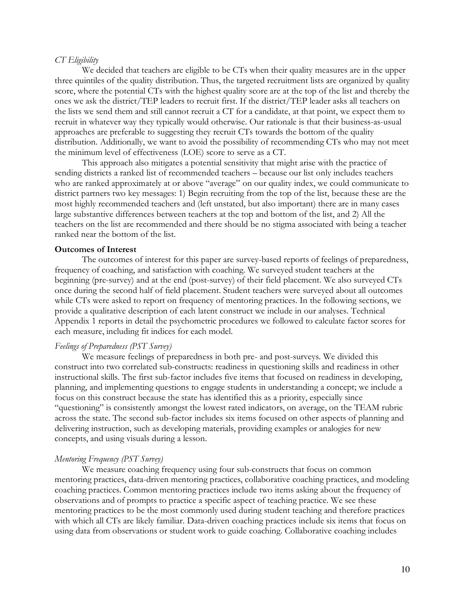#### *CT Eligibility*

We decided that teachers are eligible to be CTs when their quality measures are in the upper three quintiles of the quality distribution. Thus, the targeted recruitment lists are organized by quality score, where the potential CTs with the highest quality score are at the top of the list and thereby the ones we ask the district/TEP leaders to recruit first. If the district/TEP leader asks all teachers on the lists we send them and still cannot recruit a CT for a candidate, at that point, we expect them to recruit in whatever way they typically would otherwise. Our rationale is that their business-as-usual approaches are preferable to suggesting they recruit CTs towards the bottom of the quality distribution. Additionally, we want to avoid the possibility of recommending CTs who may not meet the minimum level of effectiveness (LOE) score to serve as a CT.

This approach also mitigates a potential sensitivity that might arise with the practice of sending districts a ranked list of recommended teachers – because our list only includes teachers who are ranked approximately at or above "average" on our quality index, we could communicate to district partners two key messages: 1) Begin recruiting from the top of the list, because these are the most highly recommended teachers and (left unstated, but also important) there are in many cases large substantive differences between teachers at the top and bottom of the list, and 2) All the teachers on the list are recommended and there should be no stigma associated with being a teacher ranked near the bottom of the list.

#### **Outcomes of Interest**

The outcomes of interest for this paper are survey-based reports of feelings of preparedness, frequency of coaching, and satisfaction with coaching. We surveyed student teachers at the beginning (pre-survey) and at the end (post-survey) of their field placement. We also surveyed CTs once during the second half of field placement. Student teachers were surveyed about all outcomes while CTs were asked to report on frequency of mentoring practices. In the following sections, we provide a qualitative description of each latent construct we include in our analyses. Technical Appendix 1 reports in detail the psychometric procedures we followed to calculate factor scores for each measure, including fit indices for each model.

#### *Feelings of Preparedness (PST Survey)*

We measure feelings of preparedness in both pre- and post-surveys. We divided this construct into two correlated sub-constructs: readiness in questioning skills and readiness in other instructional skills. The first sub-factor includes five items that focused on readiness in developing, planning, and implementing questions to engage students in understanding a concept; we include a focus on this construct because the state has identified this as a priority, especially since "questioning" is consistently amongst the lowest rated indicators, on average, on the TEAM rubric across the state. The second sub-factor includes six items focused on other aspects of planning and delivering instruction, such as developing materials, providing examples or analogies for new concepts, and using visuals during a lesson.

#### *Mentoring Frequency (PST Survey)*

We measure coaching frequency using four sub-constructs that focus on common mentoring practices, data-driven mentoring practices, collaborative coaching practices, and modeling coaching practices. Common mentoring practices include two items asking about the frequency of observations and of prompts to practice a specific aspect of teaching practice. We see these mentoring practices to be the most commonly used during student teaching and therefore practices with which all CTs are likely familiar. Data-driven coaching practices include six items that focus on using data from observations or student work to guide coaching. Collaborative coaching includes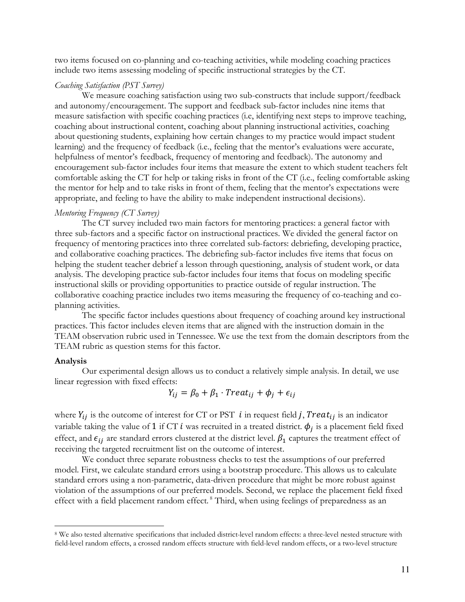two items focused on co-planning and co-teaching activities, while modeling coaching practices include two items assessing modeling of specific instructional strategies by the CT.

#### *Coaching Satisfaction (PST Survey)*

We measure coaching satisfaction using two sub-constructs that include support/feedback and autonomy/encouragement. The support and feedback sub-factor includes nine items that measure satisfaction with specific coaching practices (i.e, identifying next steps to improve teaching, coaching about instructional content, coaching about planning instructional activities, coaching about questioning students, explaining how certain changes to my practice would impact student learning) and the frequency of feedback (i.e., feeling that the mentor's evaluations were accurate, helpfulness of mentor's feedback, frequency of mentoring and feedback). The autonomy and encouragement sub-factor includes four items that measure the extent to which student teachers felt comfortable asking the CT for help or taking risks in front of the CT (i.e., feeling comfortable asking the mentor for help and to take risks in front of them, feeling that the mentor's expectations were appropriate, and feeling to have the ability to make independent instructional decisions).

#### *Mentoring Frequency (CT Survey)*

The CT survey included two main factors for mentoring practices: a general factor with three sub-factors and a specific factor on instructional practices. We divided the general factor on frequency of mentoring practices into three correlated sub-factors: debriefing, developing practice, and collaborative coaching practices. The debriefing sub-factor includes five items that focus on helping the student teacher debrief a lesson through questioning, analysis of student work, or data analysis. The developing practice sub-factor includes four items that focus on modeling specific instructional skills or providing opportunities to practice outside of regular instruction. The collaborative coaching practice includes two items measuring the frequency of co-teaching and coplanning activities.

The specific factor includes questions about frequency of coaching around key instructional practices. This factor includes eleven items that are aligned with the instruction domain in the TEAM observation rubric used in Tennessee. We use the text from the domain descriptors from the TEAM rubric as question stems for this factor.

#### **Analysis**

l

Our experimental design allows us to conduct a relatively simple analysis. In detail, we use linear regression with fixed effects:

$$
Y_{ij} = \beta_0 + \beta_1 \cdot Treat_{ij} + \phi_j + \epsilon_{ij}
$$

where  $Y_{ij}$  is the outcome of interest for CT or PST  $i$  in request field j, Treat<sub>ij</sub> is an indicator variable taking the value of 1 if CT i was recruited in a treated district.  $\phi_i$  is a placement field fixed effect, and  $\epsilon_{ij}$  are standard errors clustered at the district level.  $\beta_1$  captures the treatment effect of receiving the targeted recruitment list on the outcome of interest.

We conduct three separate robustness checks to test the assumptions of our preferred model. First, we calculate standard errors using a bootstrap procedure. This allows us to calculate standard errors using a non-parametric, data-driven procedure that might be more robust against violation of the assumptions of our preferred models. Second, we replace the placement field fixed effect with a field placement random effect.<sup>8</sup> Third, when using feelings of preparedness as an

<sup>8</sup> We also tested alternative specifications that included district-level random effects: a three-level nested structure with field-level random effects, a crossed random effects structure with field-level random effects, or a two-level structure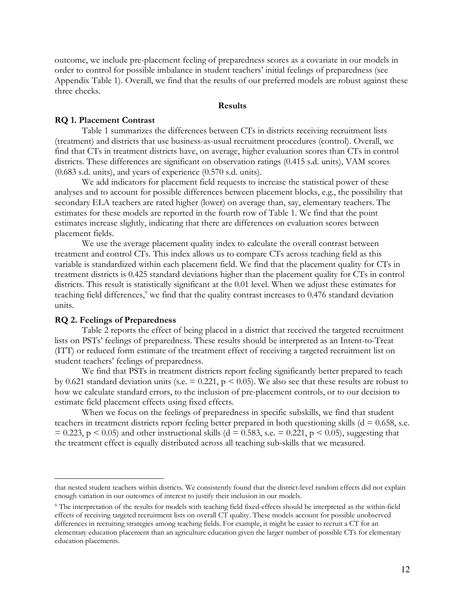outcome, we include pre-placement feeling of preparedness scores as a covariate in our models in order to control for possible imbalance in student teachers' initial feelings of preparedness (see Appendix Table 1). Overall, we find that the results of our preferred models are robust against these three checks.

#### **Results**

#### **RQ 1. Placement Contrast**

Table 1 summarizes the differences between CTs in districts receiving recruitment lists (treatment) and districts that use business-as-usual recruitment procedures (control). Overall, we find that CTs in treatment districts have, on average, higher evaluation scores than CTs in control districts. These differences are significant on observation ratings (0.415 s.d. units), VAM scores (0.683 s.d. units), and years of experience (0.570 s.d. units).

We add indicators for placement field requests to increase the statistical power of these analyses and to account for possible differences between placement blocks, e.g., the possibility that secondary ELA teachers are rated higher (lower) on average than, say, elementary teachers. The estimates for these models are reported in the fourth row of Table 1. We find that the point estimates increase slightly, indicating that there are differences on evaluation scores between placement fields.

We use the average placement quality index to calculate the overall contrast between treatment and control CTs. This index allows us to compare CTs across teaching field as this variable is standardized within each placement field. We find that the placement quality for CTs in treatment districts is 0.425 standard deviations higher than the placement quality for CTs in control districts. This result is statistically significant at the 0.01 level. When we adjust these estimates for teaching field differences,<sup>9</sup> we find that the quality contrast increases to 0.476 standard deviation units.

#### **RQ 2. Feelings of Preparedness**

 $\overline{a}$ 

Table 2 reports the effect of being placed in a district that received the targeted recruitment lists on PSTs' feelings of preparedness. These results should be interpreted as an Intent-to-Treat (ITT) or reduced form estimate of the treatment effect of receiving a targeted recruitment list on student teachers' feelings of preparedness.

We find that PSTs in treatment districts report feeling significantly better prepared to teach by 0.621 standard deviation units (s.e.  $= 0.221$ ,  $p \le 0.05$ ). We also see that these results are robust to how we calculate standard errors, to the inclusion of pre-placement controls, or to our decision to estimate field placement effects using fixed effects.

When we focus on the feelings of preparedness in specific subskills, we find that student teachers in treatment districts report feeling better prepared in both questioning skills ( $d = 0.658$ , s.e.  $= 0.223$ ,  $p \le 0.05$ ) and other instructional skills (d = 0.583, s.e. = 0.221, p < 0.05), suggesting that the treatment effect is equally distributed across all teaching sub-skills that we measured.

that nested student teachers within districts. We consistently found that the district-level random effects did not explain enough variation in our outcomes of interest to justify their inclusion in our models.

<sup>9</sup> The interpretation of the results for models with teaching field fixed-effects should be interpreted as the within-field effects of receiving targeted recruitment lists on overall CT quality. These models account for possible unobserved differences in recruiting strategies among teaching fields. For example, it might be easier to recruit a CT for an elementary education placement than an agriculture education given the larger number of possible CTs for elementary education placements.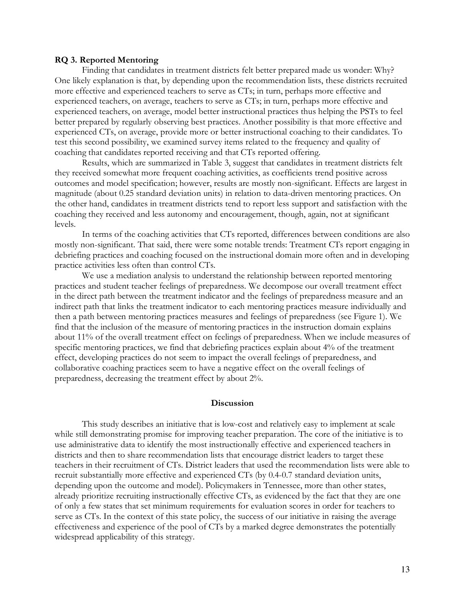#### **RQ 3. Reported Mentoring**

Finding that candidates in treatment districts felt better prepared made us wonder: Why? One likely explanation is that, by depending upon the recommendation lists, these districts recruited more effective and experienced teachers to serve as CTs; in turn, perhaps more effective and experienced teachers, on average, teachers to serve as CTs; in turn, perhaps more effective and experienced teachers, on average, model better instructional practices thus helping the PSTs to feel better prepared by regularly observing best practices. Another possibility is that more effective and experienced CTs, on average, provide more or better instructional coaching to their candidates. To test this second possibility, we examined survey items related to the frequency and quality of coaching that candidates reported receiving and that CTs reported offering.

Results, which are summarized in Table 3, suggest that candidates in treatment districts felt they received somewhat more frequent coaching activities, as coefficients trend positive across outcomes and model specification; however, results are mostly non-significant. Effects are largest in magnitude (about 0.25 standard deviation units) in relation to data-driven mentoring practices. On the other hand, candidates in treatment districts tend to report less support and satisfaction with the coaching they received and less autonomy and encouragement, though, again, not at significant levels.

In terms of the coaching activities that CTs reported, differences between conditions are also mostly non-significant. That said, there were some notable trends: Treatment CTs report engaging in debriefing practices and coaching focused on the instructional domain more often and in developing practice activities less often than control CTs.

We use a mediation analysis to understand the relationship between reported mentoring practices and student teacher feelings of preparedness. We decompose our overall treatment effect in the direct path between the treatment indicator and the feelings of preparedness measure and an indirect path that links the treatment indicator to each mentoring practices measure individually and then a path between mentoring practices measures and feelings of preparedness (see Figure 1). We find that the inclusion of the measure of mentoring practices in the instruction domain explains about 11% of the overall treatment effect on feelings of preparedness. When we include measures of specific mentoring practices, we find that debriefing practices explain about 4% of the treatment effect, developing practices do not seem to impact the overall feelings of preparedness, and collaborative coaching practices seem to have a negative effect on the overall feelings of preparedness, decreasing the treatment effect by about 2%.

#### **Discussion**

This study describes an initiative that is low-cost and relatively easy to implement at scale while still demonstrating promise for improving teacher preparation. The core of the initiative is to use administrative data to identify the most instructionally effective and experienced teachers in districts and then to share recommendation lists that encourage district leaders to target these teachers in their recruitment of CTs. District leaders that used the recommendation lists were able to recruit substantially more effective and experienced CTs (by 0.4-0.7 standard deviation units, depending upon the outcome and model). Policymakers in Tennessee, more than other states, already prioritize recruiting instructionally effective CTs, as evidenced by the fact that they are one of only a few states that set minimum requirements for evaluation scores in order for teachers to serve as CTs. In the context of this state policy, the success of our initiative in raising the average effectiveness and experience of the pool of CTs by a marked degree demonstrates the potentially widespread applicability of this strategy.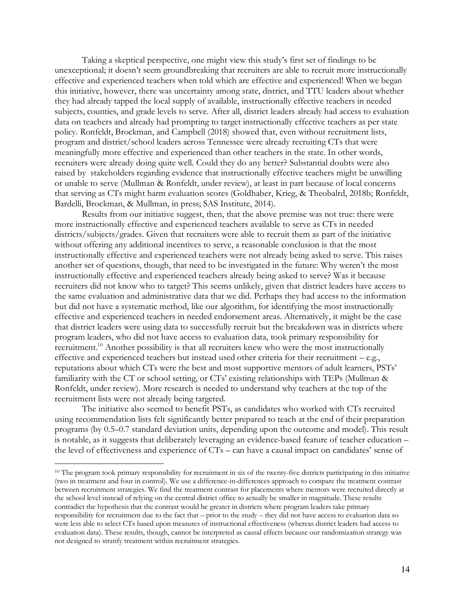Taking a skeptical perspective, one might view this study's first set of findings to be unexceptional; it doesn't seem groundbreaking that recruiters are able to recruit more instructionally effective and experienced teachers when told which are effective and experienced! When we began this initiative, however, there was uncertainty among state, district, and TTU leaders about whether they had already tapped the local supply of available, instructionally effective teachers in needed subjects, counties, and grade levels to serve. After all, district leaders already had access to evaluation data on teachers and already had prompting to target instructionally effective teachers as per state policy. Ronfeldt, Brockman, and Campbell (2018) showed that, even without recruitment lists, program and district/school leaders across Tennessee were already recruiting CTs that were meaningfully more effective and experienced than other teachers in the state. In other words, recruiters were already doing quite well. Could they do any better? Substantial doubts were also raised by stakeholders regarding evidence that instructionally effective teachers might be unwilling or unable to serve (Mullman & Ronfeldt, under review), at least in part because of local concerns that serving as CTs might harm evaluation scores (Goldhaber, Krieg, & Theobalrd, 2018b; Ronfeldt, Bardelli, Brockman, & Mullman, in press; SAS Institute, 2014).

Results from our initiative suggest, then, that the above premise was not true: there were more instructionally effective and experienced teachers available to serve as CTs in needed districts/subjects/grades. Given that recruiters were able to recruit them as part of the initiative without offering any additional incentives to serve, a reasonable conclusion is that the most instructionally effective and experienced teachers were not already being asked to serve. This raises another set of questions, though, that need to be investigated in the future: Why weren't the most instructionally effective and experienced teachers already being asked to serve? Was it because recruiters did not know who to target? This seems unlikely, given that district leaders have access to the same evaluation and administrative data that we did. Perhaps they had access to the information but did not have a systematic method, like our algorithm, for identifying the most instructionally effective and experienced teachers in needed endorsement areas. Alternatively, it might be the case that district leaders were using data to successfully recruit but the breakdown was in districts where program leaders, who did not have access to evaluation data, took primary responsibility for recruitment.<sup>10</sup> Another possibility is that all recruiters knew who were the most instructionally effective and experienced teachers but instead used other criteria for their recruitment – e.g., reputations about which CTs were the best and most supportive mentors of adult learners, PSTs' familiarity with the CT or school setting, or CTs' existing relationships with TEPs (Mullman & Ronfeldt, under review). More research is needed to understand why teachers at the top of the recruitment lists were not already being targeted.

The initiative also seemed to benefit PSTs, as candidates who worked with CTs recruited using recommendation lists felt significantly better prepared to teach at the end of their preparation programs (by 0.5–0.7 standard deviation units, depending upon the outcome and model). This result is notable, as it suggests that deliberately leveraging an evidence-based feature of teacher education – the level of effectiveness and experience of CTs – can have a causal impact on candidates' sense of

 $\overline{a}$ 

<sup>&</sup>lt;sup>10</sup> The program took primary responsibility for recruitment in six of the twenty-five districts participating in this initiative (two in treatment and four in control). We use a difference-in-differences approach to compare the treatment contrast between recruitment strategies. We find the treatment contrast for placements where mentors were recruited directly at the school level instead of relying on the central district office to actually be smaller in magnitude. These results contradict the hypothesis that the contrast would be greater in districts where program leaders take primary responsibility for recruitment due to the fact that – prior to the study – they did not have access to evaluation data so were less able to select CTs based upon measures of instructional effectiveness (whereas district leaders had access to evaluation data). These results, though, cannot be interpreted as causal effects because our randomization strategy was not designed to stratify treatment within recruitment strategies.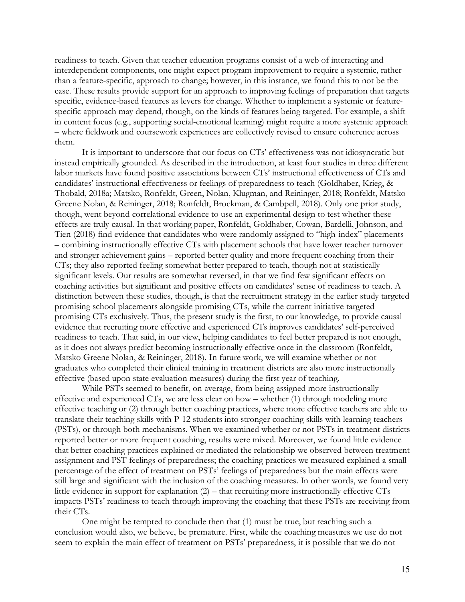readiness to teach. Given that teacher education programs consist of a web of interacting and interdependent components, one might expect program improvement to require a systemic, rather than a feature-specific, approach to change; however, in this instance, we found this to not be the case. These results provide support for an approach to improving feelings of preparation that targets specific, evidence-based features as levers for change. Whether to implement a systemic or featurespecific approach may depend, though, on the kinds of features being targeted. For example, a shift in content focus (e.g., supporting social-emotional learning) might require a more systemic approach – where fieldwork and coursework experiences are collectively revised to ensure coherence across them.

It is important to underscore that our focus on CTs' effectiveness was not idiosyncratic but instead empirically grounded. As described in the introduction, at least four studies in three different labor markets have found positive associations between CTs' instructional effectiveness of CTs and candidates' instructional effectiveness or feelings of preparedness to teach (Goldhaber, Krieg, & Thobald, 2018a; Matsko, Ronfeldt, Green, Nolan, Klugman, and Reininger, 2018; Ronfeldt, Matsko Greene Nolan, & Reininger, 2018; Ronfeldt, Brockman, & Cambpell, 2018). Only one prior study, though, went beyond correlational evidence to use an experimental design to test whether these effects are truly causal. In that working paper, Ronfeldt, Goldhaber, Cowan, Bardelli, Johnson, and Tien (2018) find evidence that candidates who were randomly assigned to "high-index" placements – combining instructionally effective CTs with placement schools that have lower teacher turnover and stronger achievement gains – reported better quality and more frequent coaching from their CTs; they also reported feeling somewhat better prepared to teach, though not at statistically significant levels. Our results are somewhat reversed, in that we find few significant effects on coaching activities but significant and positive effects on candidates' sense of readiness to teach. A distinction between these studies, though, is that the recruitment strategy in the earlier study targeted promising school placements alongside promising CTs, while the current initiative targeted promising CTs exclusively. Thus, the present study is the first, to our knowledge, to provide causal evidence that recruiting more effective and experienced CTs improves candidates' self-perceived readiness to teach. That said, in our view, helping candidates to feel better prepared is not enough, as it does not always predict becoming instructionally effective once in the classroom (Ronfeldt, Matsko Greene Nolan, & Reininger, 2018). In future work, we will examine whether or not graduates who completed their clinical training in treatment districts are also more instructionally effective (based upon state evaluation measures) during the first year of teaching.

While PSTs seemed to benefit, on average, from being assigned more instructionally effective and experienced CTs, we are less clear on how – whether (1) through modeling more effective teaching or (2) through better coaching practices, where more effective teachers are able to translate their teaching skills with P-12 students into stronger coaching skills with learning teachers (PSTs), or through both mechanisms. When we examined whether or not PSTs in treatment districts reported better or more frequent coaching, results were mixed. Moreover, we found little evidence that better coaching practices explained or mediated the relationship we observed between treatment assignment and PST feelings of preparedness; the coaching practices we measured explained a small percentage of the effect of treatment on PSTs' feelings of preparedness but the main effects were still large and significant with the inclusion of the coaching measures. In other words, we found very little evidence in support for explanation (2) – that recruiting more instructionally effective CTs impacts PSTs' readiness to teach through improving the coaching that these PSTs are receiving from their CTs.

One might be tempted to conclude then that (1) must be true, but reaching such a conclusion would also, we believe, be premature. First, while the coaching measures we use do not seem to explain the main effect of treatment on PSTs' preparedness, it is possible that we do not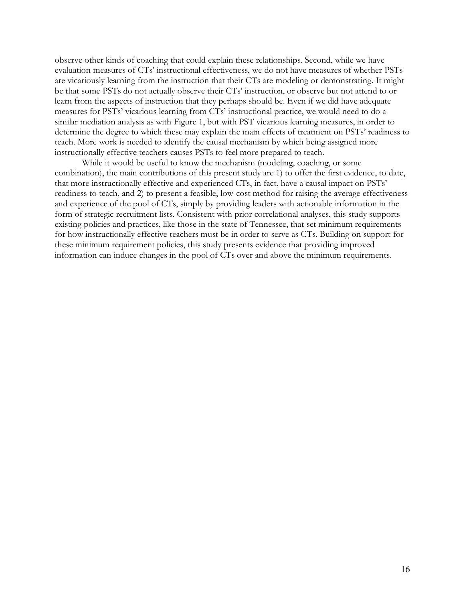observe other kinds of coaching that could explain these relationships. Second, while we have evaluation measures of CTs' instructional effectiveness, we do not have measures of whether PSTs are vicariously learning from the instruction that their CTs are modeling or demonstrating. It might be that some PSTs do not actually observe their CTs' instruction, or observe but not attend to or learn from the aspects of instruction that they perhaps should be. Even if we did have adequate measures for PSTs' vicarious learning from CTs' instructional practice, we would need to do a similar mediation analysis as with Figure 1, but with PST vicarious learning measures, in order to determine the degree to which these may explain the main effects of treatment on PSTs' readiness to teach. More work is needed to identify the causal mechanism by which being assigned more instructionally effective teachers causes PSTs to feel more prepared to teach.

While it would be useful to know the mechanism (modeling, coaching, or some combination), the main contributions of this present study are 1) to offer the first evidence, to date, that more instructionally effective and experienced CTs, in fact, have a causal impact on PSTs' readiness to teach, and 2) to present a feasible, low-cost method for raising the average effectiveness and experience of the pool of CTs, simply by providing leaders with actionable information in the form of strategic recruitment lists. Consistent with prior correlational analyses, this study supports existing policies and practices, like those in the state of Tennessee, that set minimum requirements for how instructionally effective teachers must be in order to serve as CTs. Building on support for these minimum requirement policies, this study presents evidence that providing improved information can induce changes in the pool of CTs over and above the minimum requirements.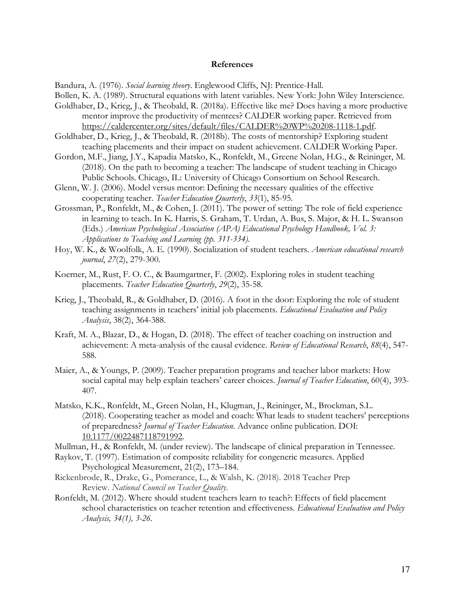#### **References**

Bandura, A. (1976). *Social learning theory*. Englewood Cliffs, NJ: Prentice-Hall.

Bollen, K. A. (1989). Structural equations with latent variables. New York: John Wiley Interscience.

- Goldhaber, D., Krieg, J., & Theobald, R. (2018a). Effective like me? Does having a more productive mentor improve the productivity of mentees? CALDER working paper. Retrieved from https://caldercenter.org/sites/default/files/CALDER%20WP%20208-1118-1.pdf.
- Goldhaber, D., Krieg, J., & Theobald, R. (2018b). The costs of mentorship? Exploring student teaching placements and their impact on student achievement. CALDER Working Paper.
- Gordon, M.F., Jiang, J.Y., Kapadia Matsko, K., Ronfeldt, M., Greene Nolan, H.G., & Reininger, M. (2018). On the path to becoming a teacher: The landscape of student teaching in Chicago Public Schools. Chicago, IL: University of Chicago Consortium on School Research.
- Glenn, W. J. (2006). Model versus mentor: Defining the necessary qualities of the effective cooperating teacher. *Teacher Education Quarterly*, *33*(1), 85-95.
- Grossman, P., Ronfeldt, M., & Cohen, J. (2011). The power of setting: The role of field experience in learning to teach. In K. Harris, S. Graham, T. Urdan, A. Bus, S. Major, & H. L. Swanson (Eds.) *American Psychological Association (APA) Educational Psychology Handbook, Vol. 3: Applications to Teaching and Learning (pp. 311-334).*
- Hoy, W. K., & Woolfolk, A. E. (1990). Socialization of student teachers. *American educational research journal*, *27*(2), 279-300.
- Koerner, M., Rust, F. O. C., & Baumgartner, F. (2002). Exploring roles in student teaching placements. *Teacher Education Quarterly*, *29*(2), 35-58.
- Krieg, J., Theobald, R., & Goldhaber, D. (2016). A foot in the door: Exploring the role of student teaching assignments in teachers' initial job placements. *Educational Evaluation and Policy Analysis*, 38(2), 364-388.
- Kraft, M. A., Blazar, D., & Hogan, D. (2018). The effect of teacher coaching on instruction and achievement: A meta-analysis of the causal evidence. *Review of Educational Research*, *88*(4), 547- 588.
- Maier, A., & Youngs, P. (2009). Teacher preparation programs and teacher labor markets: How social capital may help explain teachers' career choices. *Journal of Teacher Education*, 60(4), 393- 407.
- Matsko, K.K., Ronfeldt, M., Green Nolan, H., Klugman, J., Reininger, M., Brockman, S.L. (2018). Cooperating teacher as model and coach: What leads to student teachers' perceptions of preparedness? *Journal of Teacher Education*. Advance online publication. DOI: 10.1177/0022487118791992.

Mullman, H., & Ronfeldt, M. (under review). The landscape of clinical preparation in Tennessee.

- Raykov, T. (1997). Estimation of composite reliability for congeneric measures. Applied Psychological Measurement, 21(2), 173–184.
- Rickenbrode, R., Drake, G., Pomerance, L., & Walsh, K. (2018). 2018 Teacher Prep Review. *National Council on Teacher Quality*.
- Ronfeldt, M. (2012). Where should student teachers learn to teach?: Effects of field placement school characteristics on teacher retention and effectiveness. *Educational Evaluation and Policy Analysis, 34(1), 3-26.*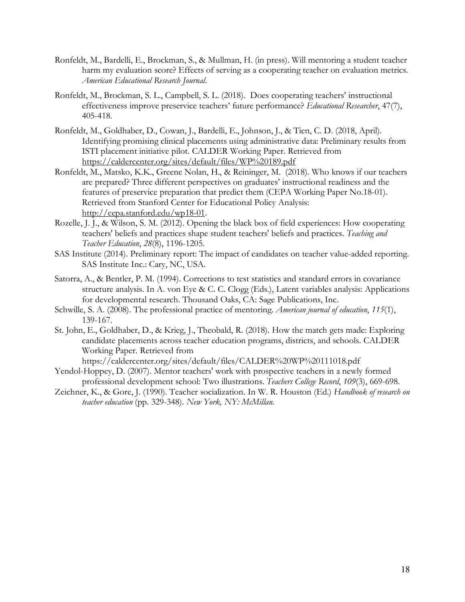- Ronfeldt, M., Bardelli, E., Brockman, S., & Mullman, H. (in press). Will mentoring a student teacher harm my evaluation score? Effects of serving as a cooperating teacher on evaluation metrics. *American Educational Research Journal*.
- Ronfeldt, M., Brockman, S. L., Campbell, S. L. (2018). Does cooperating teachers' instructional effectiveness improve preservice teachers' future performance? *Educational Researcher*, 47(7), 405-418.
- Ronfeldt, M., Goldhaber, D., Cowan, J., Bardelli, E., Johnson, J., & Tien, C. D. (2018, April). Identifying promising clinical placements using administrative data: Preliminary results from ISTI placement initiative pilot. CALDER Working Paper. Retrieved from https://caldercenter.org/sites/default/files/WP%20189.pdf
- Ronfeldt, M., Matsko, K.K., Greene Nolan, H., & Reininger, M. (2018). Who knows if our teachers are prepared? Three different perspectives on graduates' instructional readiness and the features of preservice preparation that predict them (CEPA Working Paper No.18-01). Retrieved from Stanford Center for Educational Policy Analysis: http://cepa.stanford.edu/wp18-01.
- Rozelle, J. J., & Wilson, S. M. (2012). Opening the black box of field experiences: How cooperating teachers' beliefs and practices shape student teachers' beliefs and practices. *Teaching and Teacher Education*, *28*(8), 1196-1205.
- SAS Institute (2014). Preliminary report: The impact of candidates on teacher value-added reporting. SAS Institute Inc.: Cary, NC, USA.
- Satorra, A., & Bentler, P. M. (1994). Corrections to test statistics and standard errors in covariance structure analysis. In A. von Eye & C. C. Clogg (Eds.), Latent variables analysis: Applications for developmental research. Thousand Oaks, CA: Sage Publications, Inc.
- Schwille, S. A. (2008). The professional practice of mentoring. *American journal of education*, *115*(1), 139-167.
- St. John, E., Goldhaber, D., & Krieg, J., Theobald, R. (2018). How the match gets made: Exploring candidate placements across teacher education programs, districts, and schools. CALDER Working Paper. Retrieved from

https://caldercenter.org/sites/default/files/CALDER%20WP%20111018.pdf

- Yendol-Hoppey, D. (2007). Mentor teachers' work with prospective teachers in a newly formed professional development school: Two illustrations. *Teachers College Record*, *109*(3), 669-698.
- Zeichner, K., & Gore, J. (1990). Teacher socialization. In W. R. Houston (Ed.) *Handbook of research on teacher education* (pp. 329-348). *New York, NY: McMillan.*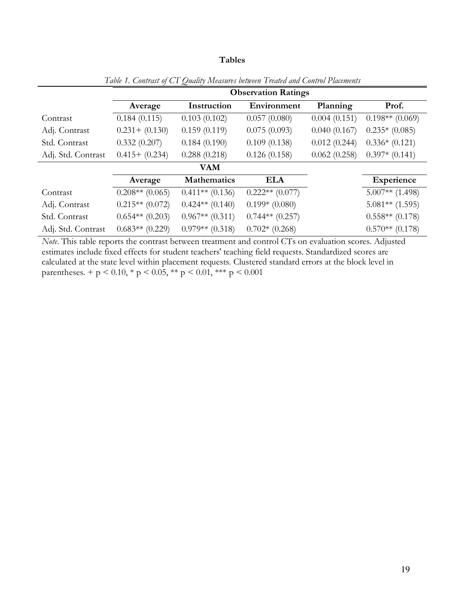#### **Tables**

|                    |                   | <b>Observation Ratings</b> |                   |              |                   |  |  |
|--------------------|-------------------|----------------------------|-------------------|--------------|-------------------|--|--|
|                    | Average           | Instruction                | Environment       | Planning     | Prof.             |  |  |
| Contrast           | 0.184(0.115)      | 0.103(0.102)               | 0.057(0.080)      | 0.004(0.151) | $0.198**$ (0.069) |  |  |
| Adj. Contrast      | $0.231 + (0.130)$ | 0.159(0.119)               | 0.075(0.093)      | 0.040(0.167) | $0.235*(0.085)$   |  |  |
| Std. Contrast      | 0.332(0.207)      | 0.184(0.190)               | 0.109(0.138)      | 0.012(0.244) | $0.336*(0.121)$   |  |  |
| Adj. Std. Contrast | $0.415+ (0.234)$  | 0.288(0.218)               | 0.126(0.158)      | 0.062(0.258) | $0.397*(0.141)$   |  |  |
|                    |                   | <b>VAM</b>                 |                   |              |                   |  |  |
|                    | Average           | <b>Mathematics</b>         | <b>ELA</b>        |              | <b>Experience</b> |  |  |
| Contrast           | $0.208**$ (0.065) | $0.411**$ (0.136)          | $0.222**$ (0.077) |              | $5.007**$ (1.498) |  |  |
| Adj. Contrast      | $0.215**$ (0.072) | $0.424**$ $(0.140)$        | $0.199*(0.080)$   |              | $5.081**$ (1.595) |  |  |
| Std. Contrast      | $0.654**$ (0.203) | $0.967**$ $(0.311)$        | $0.744**$ (0.257) |              | $0.558**$ (0.178) |  |  |
| Adj. Std. Contrast | $0.683**$ (0.229) | $0.979**$ (0.318)          | $0.702*(0.268)$   |              | $0.570**$ (0.178) |  |  |

*Table 1. Contrast of CT Quality Measures between Treated and Control Placements*

*Note*. This table reports the contrast between treatment and control CTs on evaluation scores. Adjusted estimates include fixed effects for student teachers' teaching field requests. Standardized scores are calculated at the state level within placement requests. Clustered standard errors at the block level in parentheses. + p < 0.10, \* p < 0.05, \*\* p < 0.01, \*\*\* p < 0.001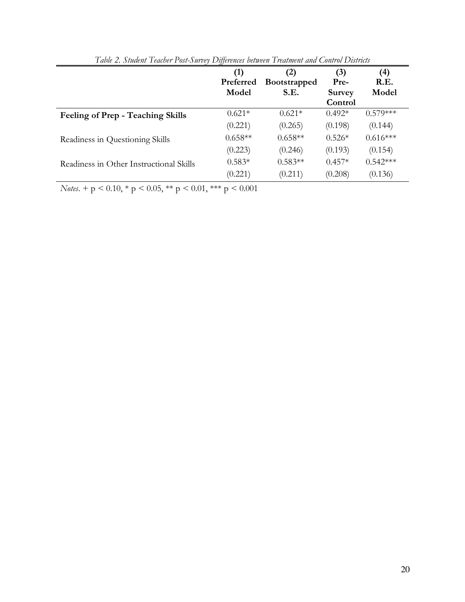|                                          | (1)       | (2)                 | (3)           | (4)        |
|------------------------------------------|-----------|---------------------|---------------|------------|
|                                          | Preferred | <b>Bootstrapped</b> | Pre-          | R.E.       |
|                                          | Model     | S.E.                | <b>Survey</b> | Model      |
|                                          |           |                     | Control       |            |
| <b>Feeling of Prep - Teaching Skills</b> | $0.621*$  | $0.621*$            | $0.492*$      | $0.579***$ |
|                                          | (0.221)   | (0.265)             | (0.198)       | (0.144)    |
| Readiness in Questioning Skills          | $0.658**$ | $0.658**$           | $0.526*$      | $0.616***$ |
|                                          | (0.223)   | (0.246)             | (0.193)       | (0.154)    |
| Readiness in Other Instructional Skills  | $0.583*$  | $0.583**$           | $0.457*$      | $0.542***$ |
|                                          | (0.221)   | (0.211)             | (0.208)       | (0.136)    |

*Table 2. Student Teacher Post-Survey Differences between Treatment and Control Districts*

*Notes*. +  $p$  < 0.10, \*  $p$  < 0.05, \*\*  $p$  < 0.01, \*\*\*  $p$  < 0.001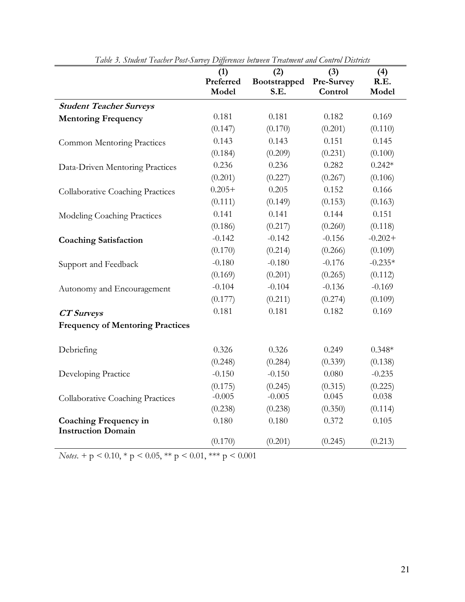| Tubie ). Statem Teather I ost-Sarvey Differences between Treatment and Control Districts | (1)<br>Preferred<br>Model | (2)<br>Bootstrapped<br>S.E. | (3)<br>Pre-Survey<br>Control | (4)<br>R.E.<br>Model |
|------------------------------------------------------------------------------------------|---------------------------|-----------------------------|------------------------------|----------------------|
| <b>Student Teacher Surveys</b>                                                           |                           |                             |                              |                      |
| <b>Mentoring Frequency</b>                                                               | 0.181                     | 0.181                       | 0.182                        | 0.169                |
|                                                                                          | (0.147)                   | (0.170)                     | (0.201)                      | (0.110)              |
| <b>Common Mentoring Practices</b>                                                        | 0.143                     | 0.143                       | 0.151                        | 0.145                |
|                                                                                          | (0.184)                   | (0.209)                     | (0.231)                      | (0.100)              |
| Data-Driven Mentoring Practices                                                          | 0.236                     | 0.236                       | 0.282                        | $0.242*$             |
|                                                                                          | (0.201)                   | (0.227)                     | (0.267)                      | (0.106)              |
| <b>Collaborative Coaching Practices</b>                                                  | $0.205+$                  | 0.205                       | 0.152                        | 0.166                |
|                                                                                          | (0.111)                   | (0.149)                     | (0.153)                      | (0.163)              |
| Modeling Coaching Practices                                                              | 0.141                     | 0.141                       | 0.144                        | 0.151                |
|                                                                                          | (0.186)                   | (0.217)                     | (0.260)                      | (0.118)              |
| <b>Coaching Satisfaction</b>                                                             | $-0.142$                  | $-0.142$                    | $-0.156$                     | $-0.202 +$           |
|                                                                                          | (0.170)                   | (0.214)                     | (0.266)                      | (0.109)              |
| Support and Feedback                                                                     | $-0.180$                  | $-0.180$                    | $-0.176$                     | $-0.235*$            |
|                                                                                          | (0.169)                   | (0.201)                     | (0.265)                      | (0.112)              |
| Autonomy and Encouragement                                                               | $-0.104$                  | $-0.104$                    | $-0.136$                     | $-0.169$             |
|                                                                                          | (0.177)                   | (0.211)                     | (0.274)                      | (0.109)              |
| <b>CT</b> Surveys                                                                        | 0.181                     | 0.181                       | 0.182                        | 0.169                |
| <b>Frequency of Mentoring Practices</b>                                                  |                           |                             |                              |                      |
| Debriefing                                                                               | 0.326                     | 0.326                       | 0.249                        | $0.348*$             |
|                                                                                          | (0.248)                   | (0.284)                     | (0.339)                      | (0.138)              |
| Developing Practice                                                                      | $-0.150$                  | $-0.150$                    | 0.080                        | $-0.235$             |
|                                                                                          | (0.175)                   | (0.245)                     | (0.315)                      | (0.225)              |
| <b>Collaborative Coaching Practices</b>                                                  | $-0.005$                  | $-0.005$                    | 0.045                        | 0.038                |
|                                                                                          | (0.238)                   | (0.238)                     | (0.350)                      | (0.114)              |
| <b>Coaching Frequency in</b>                                                             | 0.180                     | 0.180                       | 0.372                        | 0.105                |
| <b>Instruction Domain</b>                                                                |                           |                             |                              |                      |
|                                                                                          | (0.170)                   | (0.201)                     | (0.245)                      | (0.213)              |

*Table 3. Student Teacher Post-Survey Differences between Treatment and Control Districts*

*Notes*. + p < 0.10, \* p < 0.05, \*\* p < 0.01, \*\*\* p < 0.001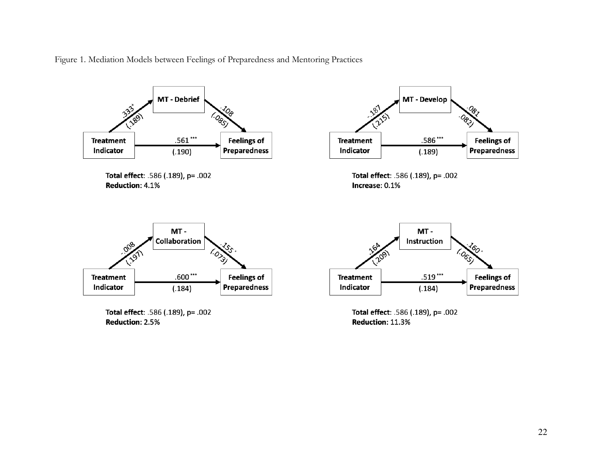Figure 1. Mediation Models between Feelings of Preparedness and Mentoring Practices



Total effect: .586 (.189), p= .002 Reduction: 2.5%

Total effect: .586 (.189), p= .002 Reduction: 11.3%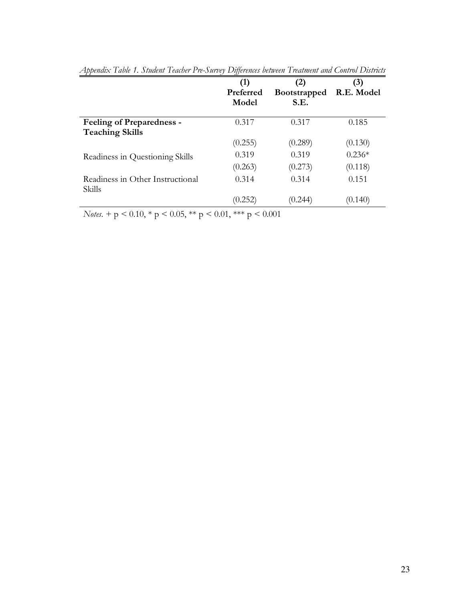|                                                            | (1)<br>Preferred<br>Model | (2)<br><b>Bootstrapped</b><br>S.E. | (3)<br>R.E. Model |
|------------------------------------------------------------|---------------------------|------------------------------------|-------------------|
| <b>Feeling of Preparedness -</b><br><b>Teaching Skills</b> | 0.317                     | 0.317                              | 0.185             |
|                                                            | (0.255)                   | (0.289)                            | (0.130)           |
| Readiness in Questioning Skills                            | 0.319                     | 0.319                              | $0.236*$          |
|                                                            | (0.263)                   | (0.273)                            | (0.118)           |
| Readiness in Other Instructional<br>Skills                 | 0.314                     | 0.314                              | 0.151             |
|                                                            | (0.252)                   | 0.244                              | (0.140)           |

|  | Appendix Table 1. Student Teacher Pre-Survey Differences between Treatment and Control Districts |  |
|--|--------------------------------------------------------------------------------------------------|--|
|  |                                                                                                  |  |

*Notes*. + p < 0.10, \* p < 0.05, \*\* p < 0.01, \*\*\* p < 0.001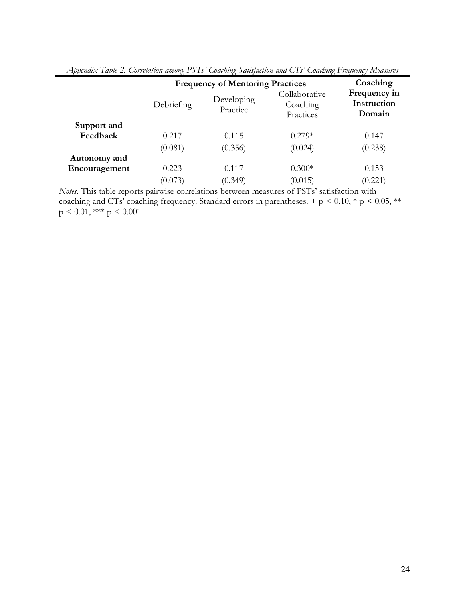|               | <b>Frequency of Mentoring Practices</b> | Coaching               |                                        |                                       |
|---------------|-----------------------------------------|------------------------|----------------------------------------|---------------------------------------|
|               | Debriefing                              | Developing<br>Practice | Collaborative<br>Coaching<br>Practices | Frequency in<br>Instruction<br>Domain |
| Support and   |                                         |                        |                                        |                                       |
| Feedback      | 0.217                                   | 0.115                  | $0.279*$                               | 0.147                                 |
|               | (0.081)                                 | (0.356)                | (0.024)                                | (0.238)                               |
| Autonomy and  |                                         |                        |                                        |                                       |
| Encouragement | 0.223                                   | 0.117                  | $0.300*$                               | 0.153                                 |
|               | (0.073)                                 | (0.349)                | (0.015)                                | (0.221)                               |

| Appendix Table 2. Correlation among PSTs' Coaching Satisfaction and CTs' Coaching Frequency Measures |  |  |
|------------------------------------------------------------------------------------------------------|--|--|
|                                                                                                      |  |  |

*Notes*. This table reports pairwise correlations between measures of PSTs' satisfaction with coaching and CTs' coaching frequency. Standard errors in parentheses.  $+p < 0.10, *p < 0.05, **$  $p \le 0.01$ , \*\*\*  $p \le 0.001$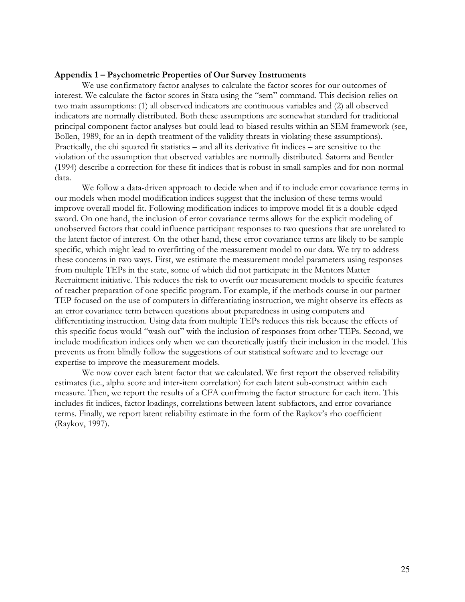#### **Appendix 1 – Psychometric Properties of Our Survey Instruments**

We use confirmatory factor analyses to calculate the factor scores for our outcomes of interest. We calculate the factor scores in Stata using the "sem" command. This decision relies on two main assumptions: (1) all observed indicators are continuous variables and (2) all observed indicators are normally distributed. Both these assumptions are somewhat standard for traditional principal component factor analyses but could lead to biased results within an SEM framework (see, Bollen, 1989, for an in-depth treatment of the validity threats in violating these assumptions). Practically, the chi squared fit statistics – and all its derivative fit indices – are sensitive to the violation of the assumption that observed variables are normally distributed. Satorra and Bentler (1994) describe a correction for these fit indices that is robust in small samples and for non-normal data.

We follow a data-driven approach to decide when and if to include error covariance terms in our models when model modification indices suggest that the inclusion of these terms would improve overall model fit. Following modification indices to improve model fit is a double-edged sword. On one hand, the inclusion of error covariance terms allows for the explicit modeling of unobserved factors that could influence participant responses to two questions that are unrelated to the latent factor of interest. On the other hand, these error covariance terms are likely to be sample specific, which might lead to overfitting of the measurement model to our data. We try to address these concerns in two ways. First, we estimate the measurement model parameters using responses from multiple TEPs in the state, some of which did not participate in the Mentors Matter Recruitment initiative. This reduces the risk to overfit our measurement models to specific features of teacher preparation of one specific program. For example, if the methods course in our partner TEP focused on the use of computers in differentiating instruction, we might observe its effects as an error covariance term between questions about preparedness in using computers and differentiating instruction. Using data from multiple TEPs reduces this risk because the effects of this specific focus would "wash out" with the inclusion of responses from other TEPs. Second, we include modification indices only when we can theoretically justify their inclusion in the model. This prevents us from blindly follow the suggestions of our statistical software and to leverage our expertise to improve the measurement models.

We now cover each latent factor that we calculated. We first report the observed reliability estimates (i.e., alpha score and inter-item correlation) for each latent sub-construct within each measure. Then, we report the results of a CFA confirming the factor structure for each item. This includes fit indices, factor loadings, correlations between latent-subfactors, and error covariance terms. Finally, we report latent reliability estimate in the form of the Raykov's rho coefficient (Raykov, 1997).